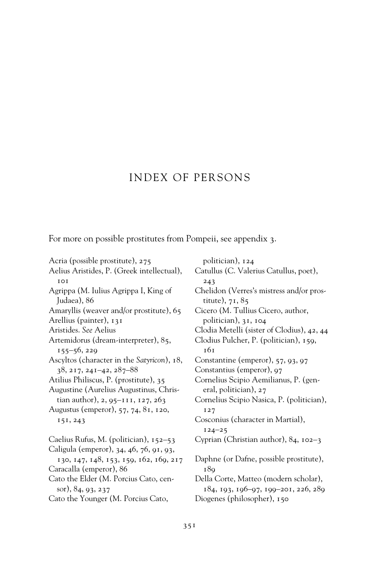## INDEX OF PERSONS

For more on possible prostitutes from Pompeii, see appendix 3.

Acria (possible prostitute), 275 Aelius Aristides, P. (Greek intellectual), 101 Agrippa (M. Iulius Agrippa I, King of Judaea), 86 Amaryllis (weaver and/or prostitute), 65 Arellius (painter), 131 Aristides. *See* Aelius Artemidorus (dream-interpreter), 85, 155–56, 229 Ascyltos (character in the *Satyricon*), 18, 38, 217, 241–42, 287–88 Atilius Philiscus, P. (prostitute), 35 Augustine (Aurelius Augustinus, Christian author), 2, 95–111, 127, 263 Augustus (emperor), 57, 74, 81, 120, 151, 243 Caelius Rufus, M. (politician), 152–53 Caligula (emperor), 34, 46, 76, 91, 93, 130, 147, 148, 153, 159, 162, 169, 217 Caracalla (emperor), 86 Cato the Elder (M. Porcius Cato, censor), 84, 93, 237 Cato the Younger (M. Porcius Cato,

politician), 124 Catullus (C. Valerius Catullus, poet), 243 Chelidon (Verres's mistress and/or prostitute), 71, 85 Cicero (M. Tullius Cicero, author, politician), 31, 104 Clodia Metelli (sister of Clodius), 42, 44 Clodius Pulcher, P. (politician), 159, 161 Constantine (emperor), 57, 93, 97 Constantius (emperor), 97 Cornelius Scipio Aemilianus, P. (general, politician), 27 Cornelius Scipio Nasica, P. (politician), 127 Cosconius (character in Martial), 124–25 Cyprian (Christian author), 84, 102–3 Daphne (or Dafne, possible prostitute), 189 Della Corte, Matteo (modern scholar), 184, 193, 196–97, 199–201, 226, 289 Diogenes (philosopher), 150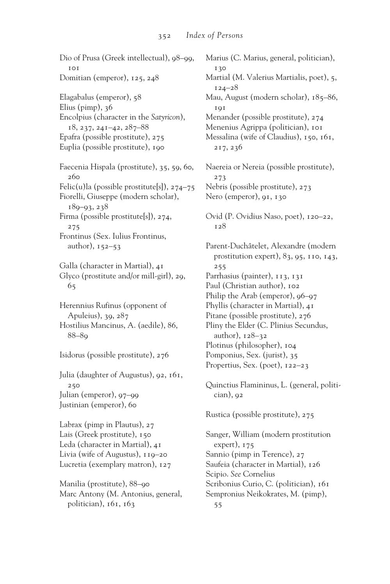Dio of Prusa (Greek intellectual), 98–99, 101 Domitian (emperor), 125, 248 Elagabalus (emperor), 58 Elius (pimp), 36 Encolpius (character in the *Satyricon*), 18, 237, 241–42, 287–88 Epafra (possible prostitute), 275 Euplia (possible prostitute), 190 Faecenia Hispala (prostitute), 35, 59, 60, 260 Felic(u)la (possible prostitute[s]), 274–75 Fiorelli, Giuseppe (modern scholar), 189–93, 238 Firma (possible prostitute[s]), 274, 275 Frontinus (Sex. Iulius Frontinus, author), 152–53 Galla (character in Martial), 41 Glyco (prostitute and/or mill-girl), 29, 65 Herennius Rufinus (opponent of Apuleius), 39, 287 Hostilius Mancinus, A. (aedile), 86, 88–89 Isidorus (possible prostitute), 276 Julia (daughter of Augustus), 92, 161, 250 Julian (emperor), 97–99 Justinian (emperor), 60 Labrax (pimp in Plautus), 27 Lais (Greek prostitute), 150 Leda (character in Martial), 41 Livia (wife of Augustus), 119–20 Lucretia (exemplary matron), 127 Manilia (prostitute), 88–90 Marc Antony (M. Antonius, general, politician), 161, 163 Marius (C. Marius, general, politician), 130 Martial (M. Valerius Martialis, poet), 5, 124–28 Mau, August (modern scholar), 185–86, **101** Menander (possible prostitute), 274 Menenius Agrippa (politician), 101 Messalina (wife of Claudius), 150, 161, 217, 236 Naereia or Nereia (possible prostitute), 273 Nebris (possible prostitute), 273 Nero (emperor), 91, 130 Ovid (P. Ovidius Naso, poet), 120–22, 128 Parent-Duchâtelet, Alexandre (modern prostitution expert), 83, 95, 110, 143, 255 Parrhasius (painter), 113, 131 Paul (Christian author), 102 Philip the Arab (emperor), 96-97 Phyllis (character in Martial), 41 Pitane (possible prostitute), 276 Pliny the Elder (C. Plinius Secundus, author), 128–32 Plotinus (philosopher), 104 Pomponius, Sex. (jurist), 35 Propertius, Sex. (poet), 122–23 Quinctius Flamininus, L. (general, politi $cian$ ),  $92$ Rustica (possible prostitute), 275 Sanger, William (modern prostitution expert), 175 Sannio (pimp in Terence), 27 Saufeia (character in Martial), 126 Scipio. *See* Cornelius Scribonius Curio, C. (politician), 161 Sempronius Neikokrates, M. (pimp), 55